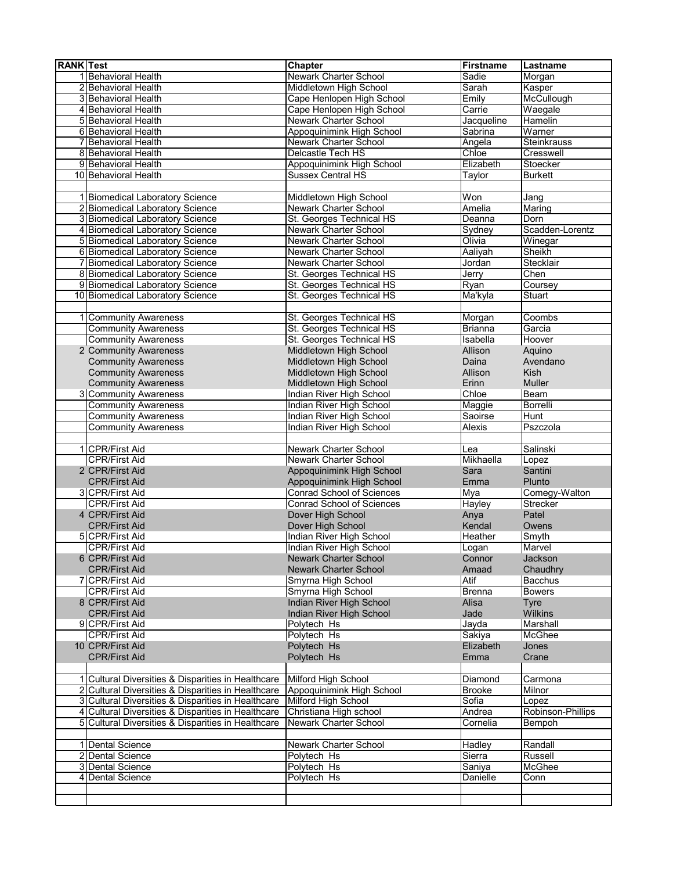| <b>RANK Test</b> |                                                    | Chapter                                         | <b>Firstname</b>       | Lastname                     |
|------------------|----------------------------------------------------|-------------------------------------------------|------------------------|------------------------------|
|                  | 1 Behavioral Health                                | Newark Charter School                           | Sadie                  | Morgan                       |
|                  | 2 Behavioral Health                                | Middletown High School                          | Sarah                  | Kasper                       |
|                  | 3 Behavioral Health                                | Cape Henlopen High School                       | Emily                  | McCullough                   |
|                  | 4 Behavioral Health                                | Cape Henlopen High School                       | Carrie                 | Waegale                      |
|                  | 5 Behavioral Health                                | <b>Newark Charter School</b>                    | Jacqueline             | Hamelin                      |
|                  | 6 Behavioral Health                                | Appoquinimink High School                       | Sabrina                | Warner                       |
|                  | 7 Behavioral Health                                | Newark Charter School                           | Angela                 | Steinkrauss                  |
|                  | 8 Behavioral Health                                | Delcastle Tech HS                               | Chloe                  | Cresswell                    |
|                  | 9 Behavioral Health                                | Appoquinimink High School                       | Elizabeth              | Stoecker                     |
|                  | 10 Behavioral Health                               | <b>Sussex Central HS</b>                        | Taylor                 | <b>Burkett</b>               |
|                  |                                                    |                                                 |                        |                              |
|                  | 1 Biomedical Laboratory Science                    | Middletown High School                          | Won                    | Jang                         |
|                  | 2 Biomedical Laboratory Science                    | Newark Charter School                           | Amelia                 | Maring                       |
|                  | 3 Biomedical Laboratory Science                    | St. Georges Technical HS                        | Deanna                 | Dorn                         |
|                  | 4 Biomedical Laboratory Science                    | <b>Newark Charter School</b>                    | Sydney                 | Scadden-Lorentz              |
|                  | 5 Biomedical Laboratory Science                    | Newark Charter School                           | Olivia                 | $\overline{\text{W}}$ inegar |
|                  | 6 Biomedical Laboratory Science                    | Newark Charter School                           | Aaliyah                | Sheikh                       |
|                  | 7 Biomedical Laboratory Science                    | Newark Charter School                           | Jordan                 | Stecklair                    |
|                  | 8 Biomedical Laboratory Science                    | St. Georges Technical HS                        | Jerry                  | Chen                         |
|                  | 9 Biomedical Laboratory Science                    | St. Georges Technical HS                        | Ryan                   | Coursey                      |
|                  | 10 Biomedical Laboratory Science                   | St. Georges Technical HS                        | Ma'kyla                | Stuart                       |
|                  |                                                    |                                                 |                        |                              |
|                  | 1 Community Awareness                              | St. Georges Technical HS                        | Morgan                 | Coombs                       |
|                  | <b>Community Awareness</b>                         | St. Georges Technical HS                        | <b>Brianna</b>         | Garcia                       |
|                  | <b>Community Awareness</b>                         | St. Georges Technical HS                        | Isabella               | Hoover                       |
|                  |                                                    | Middletown High School                          |                        |                              |
|                  | 2 Community Awareness                              |                                                 | Allison                | Aquino<br>Avendano           |
|                  | <b>Community Awareness</b>                         | Middletown High School                          | Daina<br>Allison       | <b>Kish</b>                  |
|                  | <b>Community Awareness</b>                         | Middletown High School                          |                        |                              |
|                  | <b>Community Awareness</b>                         | Middletown High School                          | Erinn                  | <b>Muller</b>                |
|                  | 3 Community Awareness                              | Indian River High School                        | Chloe                  | Beam                         |
|                  | <b>Community Awareness</b>                         | <b>Indian River High School</b>                 | Maggie                 | <b>Borrelli</b>              |
|                  | <b>Community Awareness</b>                         | Indian River High School                        | Saoirse                | Hunt                         |
|                  | <b>Community Awareness</b>                         | Indian River High School                        | Alexis                 | Pszczola                     |
|                  |                                                    |                                                 |                        |                              |
|                  | 1 CPR/First Aid                                    | Newark Charter School                           | Lea                    | Salinski                     |
|                  | <b>CPR/First Aid</b>                               | Newark Charter School                           | Mikhaella              | Lopez                        |
|                  | 2 CPR/First Aid                                    | Appoquinimink High School                       | Sara                   | Santini                      |
|                  | <b>CPR/First Aid</b>                               | Appoquinimink High School                       | Emma                   | Plunto                       |
|                  | 3 CPR/First Aid                                    | <b>Conrad School of Sciences</b>                | Mya                    | Comegy-Walton                |
|                  | <b>CPR/First Aid</b>                               | <b>Conrad School of Sciences</b>                | <b>Hayley</b>          | Strecker                     |
|                  | 4 CPR/First Aid<br><b>CPR/First Aid</b>            | Dover High School                               | Anya                   | Patel                        |
|                  |                                                    | Dover High School                               | Kendal                 | Owens                        |
|                  | 5 CPR/First Aid                                    | Indian River High School                        | Heather                | Smyth                        |
|                  | <b>CPR/First Aid</b>                               | Indian River High School                        | Logan                  | Marvel                       |
|                  | 6 CPR/First Aid                                    | <b>Newark Charter School</b>                    | Connor                 | Jackson                      |
|                  | <b>CPR/First Aid</b>                               | <b>Newark Charter School</b>                    | Amaad                  | Chaudhry                     |
|                  | 7 CPR/First Aid                                    | Smyrna High School                              | Atif                   | Bacchus                      |
|                  | <b>CPR/First Aid</b><br>8 CPR/First Aid            | Smyrna High School<br>Indian River High School  | <b>Brenna</b><br>Alisa | <b>Bowers</b>                |
|                  | <b>CPR/First Aid</b>                               | Indian River High School                        | Jade                   | Tyre<br>Wilkins              |
|                  | 9 CPR/First Aid                                    | Polytech Hs                                     | Jayda                  | Marshall                     |
|                  |                                                    |                                                 |                        |                              |
|                  | <b>CPR/First Aid</b><br>10 CPR/First Aid           | Polytech Hs<br>Polytech Hs                      | Sakiya<br>Elizabeth    | <b>McGhee</b><br>Jones       |
|                  |                                                    |                                                 |                        |                              |
|                  | <b>CPR/First Aid</b>                               | Polytech Hs                                     | Emma                   | Crane                        |
|                  |                                                    |                                                 |                        |                              |
|                  | 1 Cultural Diversities & Disparities in Healthcare | Milford High School                             | Diamond                | Carmona                      |
|                  | 2 Cultural Diversities & Disparities in Healthcare | Appoquinimink High School                       | <b>Brooke</b>          | Milnor                       |
|                  | 3 Cultural Diversities & Disparities in Healthcare | Milford High School                             | Sofia                  | Lopez<br>Robinson-Phillips   |
|                  | 4 Cultural Diversities & Disparities in Healthcare | Christiana High school<br>Newark Charter School | Andrea<br>Cornelia     |                              |
|                  | 5 Cultural Diversities & Disparities in Healthcare |                                                 |                        | Bempoh                       |
|                  | 1 Dental Science                                   | Newark Charter School                           | Hadley                 | Randall                      |
|                  | 2 Dental Science                                   | Polytech Hs                                     | Sierra                 | Russell                      |
|                  | 3 Dental Science                                   | Polytech Hs                                     | Saniya                 | McGhee                       |
|                  | 4 Dental Science                                   | Polytech Hs                                     | Danielle               | Conn                         |
|                  |                                                    |                                                 |                        |                              |
|                  |                                                    |                                                 |                        |                              |
|                  |                                                    |                                                 |                        |                              |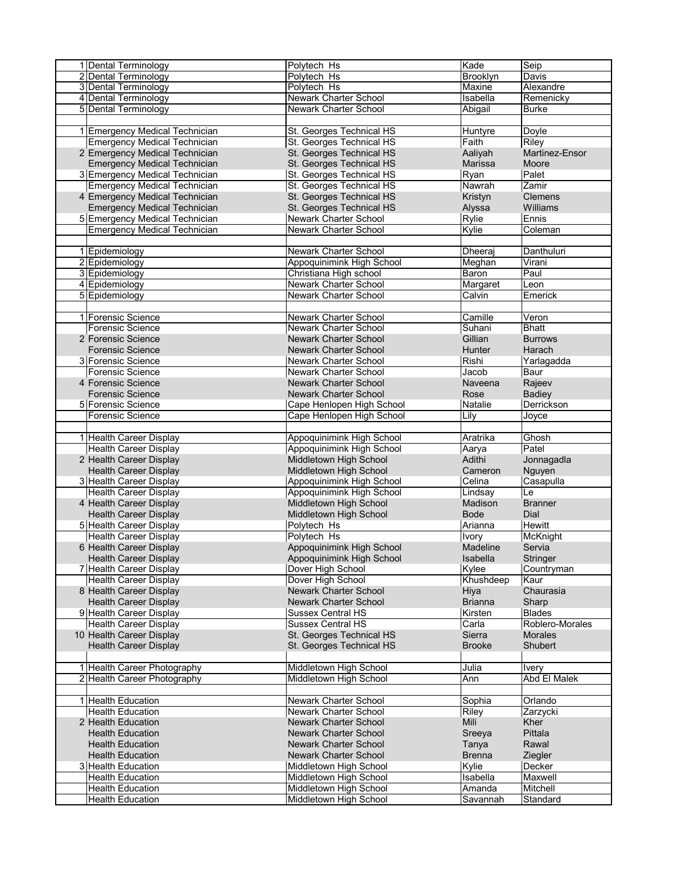| 1 Dental Terminology                | Polytech Hs                  | Kade           | Seip            |
|-------------------------------------|------------------------------|----------------|-----------------|
| 2 Dental Terminology                | Polytech Hs                  | Brooklyn       | Davis           |
| 3 Dental Terminology                | Polytech Hs                  | Maxine         | Alexandre       |
| 4 Dental Terminology                | <b>Newark Charter School</b> | Isabella       | Remenicky       |
| 5 Dental Terminology                | Newark Charter School        | Abigail        | <b>Burke</b>    |
|                                     |                              |                |                 |
| 1 Emergency Medical Technician      | St. Georges Technical HS     |                |                 |
|                                     |                              | Huntyre        | Doyle           |
| <b>Emergency Medical Technician</b> | St. Georges Technical HS     | Faith          | Riley           |
| 2 Emergency Medical Technician      | St. Georges Technical HS     | Aaliyah        | Martinez-Ensor  |
| <b>Emergency Medical Technician</b> | St. Georges Technical HS     | Marissa        | Moore           |
| 3 Emergency Medical Technician      | St. Georges Technical HS     | Ryan           | Palet           |
| <b>Emergency Medical Technician</b> | St. Georges Technical HS     | Nawrah         | Zamir           |
| 4 Emergency Medical Technician      | St. Georges Technical HS     | Kristyn        | <b>Clemens</b>  |
| <b>Emergency Medical Technician</b> | St. Georges Technical HS     | Alyssa         | Williams        |
| 5 Emergency Medical Technician      | Newark Charter School        | Rylie          | Ennis           |
| <b>Emergency Medical Technician</b> | Newark Charter School        | Kylie          | Coleman         |
|                                     |                              |                |                 |
|                                     |                              |                |                 |
| 1 Epidemiology                      | Newark Charter School        | Dheeraj        | Danthuluri      |
| 2 Epidemiology                      | Appoquinimink High School    | Meghan         | Virani          |
| 3 Epidemiology                      | Christiana High school       | Baron          | Paul            |
| 4 Epidemiology                      | Newark Charter School        | Margaret       | Leon            |
| 5 Epidemiology                      | Newark Charter School        | Calvin         | Emerick         |
|                                     |                              |                |                 |
| 1 Forensic Science                  | <b>Newark Charter School</b> | Camille        | Veron           |
| Forensic Science                    | Newark Charter School        | Suhani         | <b>Bhatt</b>    |
| 2 Forensic Science                  | <b>Newark Charter School</b> | Gillian        | <b>Burrows</b>  |
| <b>Forensic Science</b>             | <b>Newark Charter School</b> | Hunter         | Harach          |
|                                     |                              |                |                 |
| 3 Forensic Science                  | Newark Charter School        | Rishi          | Yarlagadda      |
| <b>Forensic Science</b>             | <b>Newark Charter School</b> | Jacob          | Baur            |
| 4 Forensic Science                  | <b>Newark Charter School</b> | Naveena        | Rajeev          |
| <b>Forensic Science</b>             | <b>Newark Charter School</b> | Rose           | <b>Badiey</b>   |
| 5 Forensic Science                  | Cape Henlopen High School    | Natalie        | Derrickson      |
| Forensic Science                    | Cape Henlopen High School    | Lily           | Joyce           |
|                                     |                              |                |                 |
| 1 Health Career Display             | Appoquinimink High School    | Aratrika       | Ghosh           |
| <b>Health Career Display</b>        | Appoquinimink High School    | Aarya          | Patel           |
|                                     |                              | Adithi         |                 |
| 2 Health Career Display             | Middletown High School       |                | Jonnagadla      |
| <b>Health Career Display</b>        | Middletown High School       | Cameron        | Nguyen          |
| 3 Health Career Display             | Appoquinimink High School    | Celina         | Casapulla       |
| <b>Health Career Display</b>        | Appoquinimink High School    | Lindsay        | Le              |
| 4 Health Career Display             | Middletown High School       | Madison        | <b>Branner</b>  |
| <b>Health Career Display</b>        | Middletown High School       | <b>Bode</b>    | Dial            |
| 5 Health Career Display             | Polytech Hs                  | Arianna        | <b>Hewitt</b>   |
| <b>Health Career Display</b>        | Polytech Hs                  | Ivory          | <b>McKnight</b> |
| 6 Health Career Display             | Appoquinimink High School    | Madeline       | Servia          |
| <b>Health Career Display</b>        | Appoquinimink High School    | Isabella       | Stringer        |
|                                     |                              |                |                 |
| 7 Health Career Display             | Dover High School            | Kvlee          | Countryman      |
| <b>Health Career Display</b>        | Dover High School            | Khushdeep      | Kaur            |
| 8 Health Career Display             | Newark Charter School        | Hiya           | Chaurasia       |
| <b>Health Career Display</b>        | Newark Charter School        | <b>Brianna</b> | Sharp           |
| 9 Health Career Display             | <b>Sussex Central HS</b>     | Kirsten        | <b>Blades</b>   |
| <b>Health Career Display</b>        | <b>Sussex Central HS</b>     | Carla          | Roblero-Morales |
| 10 Health Career Display            | St. Georges Technical HS     | Sierra         | <b>Morales</b>  |
| <b>Health Career Display</b>        | St. Georges Technical HS     | <b>Brooke</b>  | Shubert         |
|                                     |                              |                |                 |
| 1 Health Career Photography         | Middletown High School       | Julia          | <b>Ivery</b>    |
| 2 Health Career Photography         | Middletown High School       | Ann            | Abd El Malek    |
|                                     |                              |                |                 |
|                                     |                              |                |                 |
| 1 Health Education                  | Newark Charter School        | Sophia         | Orlando         |
| <b>Health Education</b>             | Newark Charter School        | Riley          | Zarzycki        |
| 2 Health Education                  | <b>Newark Charter School</b> | Mili           | Kher            |
| <b>Health Education</b>             | <b>Newark Charter School</b> | Sreeya         | Pittala         |
| <b>Health Education</b>             | <b>Newark Charter School</b> | Tanya          | Rawal           |
| <b>Health Education</b>             | <b>Newark Charter School</b> | <b>Brenna</b>  | Ziegler         |
| 3 Health Education                  | Middletown High School       | Kylie          | Decker          |
| <b>Health Education</b>             | Middletown High School       | Isabella       | Maxwell         |
| <b>Health Education</b>             | Middletown High School       | Amanda         | Mitchell        |
| <b>Health Education</b>             | Middletown High School       | Savannah       | Standard        |
|                                     |                              |                |                 |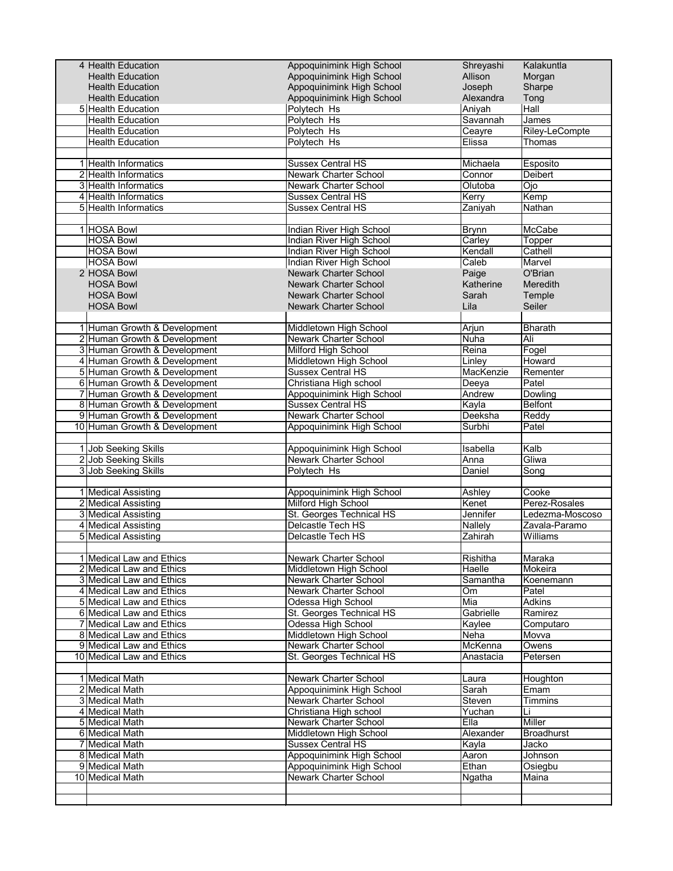| 4 Health Education                   | Appoquinimink High School        | Shreyashi          | Kalakuntla        |
|--------------------------------------|----------------------------------|--------------------|-------------------|
| <b>Health Education</b>              | Appoquinimink High School        | Allison            | Morgan            |
| <b>Health Education</b>              | Appoquinimink High School        | Joseph             | Sharpe            |
| <b>Health Education</b>              | Appoquinimink High School        | Alexandra          | Tong              |
| 5 Health Education                   | Polytech Hs                      | Aniyah             | Hall              |
| <b>Health Education</b>              | Polytech Hs                      | Savannah           | James             |
| <b>Health Education</b>              | Polytech Hs                      | Ceayre             | Riley-LeCompte    |
| <b>Health Education</b>              | Polytech Hs                      | Elissa             | Thomas            |
|                                      |                                  |                    |                   |
| 1 Health Informatics                 | <b>Sussex Central HS</b>         | Michaela           | Esposito          |
| 2 Health Informatics                 | <b>Newark Charter School</b>     | Connor             | Deibert           |
| 3 Health Informatics                 | Newark Charter School            | Olutoba            | Ojo               |
| 4 Health Informatics                 | <b>Sussex Central HS</b>         | Kerry              | Kemp              |
| 5 Health Informatics                 | <b>Sussex Central HS</b>         | Zaniyah            | Nathan            |
|                                      |                                  |                    |                   |
| 1 HOSA Bowl                          | Indian River High School         | <b>Brynn</b>       | McCabe            |
| <b>HOSA Bowl</b>                     | Indian River High School         | Carley             | Topper            |
| <b>HOSA Bowl</b>                     | Indian River High School         | Kendall            | Cathell           |
| <b>HOSA Bowl</b>                     | Indian River High School         | Caleb              | Marvel            |
| 2 HOSA Bowl                          | Newark Charter School            |                    | O'Brian           |
|                                      |                                  | Paige              |                   |
| <b>HOSA Bowl</b><br><b>HOSA Bowl</b> | Newark Charter School            | Katherine<br>Sarah | Meredith          |
|                                      | <b>Newark Charter School</b>     |                    | Temple            |
| <b>HOSA Bowl</b>                     | <b>Newark Charter School</b>     | Lila               | Seiler            |
|                                      |                                  |                    |                   |
| 1 Human Growth & Development         | Middletown High School           | Arjun              | <b>Bharath</b>    |
| 2 Human Growth & Development         | <b>Newark Charter School</b>     | Nuha               | Ali               |
| 3 Human Growth & Development         | <b>Milford High School</b>       | Reina              | Fogel             |
| 4 Human Growth & Development         | Middletown High School           | Linley             | Howard            |
| 5 Human Growth & Development         | <b>Sussex Central HS</b>         | MacKenzie          | Rementer          |
| 6 Human Growth & Development         | Christiana High school           | Deeya              | Patel             |
| 7 Human Growth & Development         | Appoquinimink High School        | Andrew             | Dowling           |
| 8 Human Growth & Development         | <b>Sussex Central HS</b>         | Kayla              | <b>Belfont</b>    |
| 9 Human Growth & Development         | Newark Charter School            | Deeksha            | Reddy             |
| 10 Human Growth & Development        | Appoquinimink High School        | Surbhi             | Patel             |
|                                      |                                  |                    |                   |
| 1 Job Seeking Skills                 | Appoquinimink High School        | Isabella           | Kalb              |
| 2 Job Seeking Skills                 | <b>Newark Charter School</b>     | Anna               | Gliwa             |
| 3 Job Seeking Skills                 | Polytech Hs                      | Daniel             | Song              |
|                                      |                                  |                    |                   |
| 1 Medical Assisting                  | Appoquinimink High School        | Ashley             | Cooke             |
| 2 Medical Assisting                  | Milford High School              | Kenet              | Perez-Rosales     |
| 3 Medical Assisting                  | St. Georges Technical HS         | Jennifer           | Ledezma-Moscoso   |
| 4 Medical Assisting                  | Delcastle Tech HS                | Nallely            | Zavala-Paramo     |
| 5 Medical Assisting                  | Delcastle Tech HS                | Zahirah            | Williams          |
|                                      |                                  |                    |                   |
| 1 Medical Law and Ethics             | Newark Charter School            | Rishitha           | Maraka            |
| 2 Medical Law and Ethics             | Middletown High School           | Haelle             | Mokeira           |
| 3 Medical Law and Ethics             | Newark Charter School            | Samantha           | Koenemann         |
| 4 Medical Law and Ethics             | Newark Charter School            | Om                 | Patel             |
| 5 Medical Law and Ethics             | Odessa High School               | Mia                | Adkins            |
| 6 Medical Law and Ethics             | St. Georges Technical HS         | Gabrielle          | Ramirez           |
| 7 Medical Law and Ethics             | Odessa High School               | Kaylee             | Computaro         |
| 8 Medical Law and Ethics             | Middletown High School           | Neha               | Movva             |
| 9 Medical Law and Ethics             | <b>Newark Charter School</b>     | McKenna            | Owens             |
| 10 Medical Law and Ethics            | St. Georges Technical HS         | Anastacia          | Petersen          |
|                                      |                                  |                    |                   |
| 1 Medical Math                       | Newark Charter School            | Laura              | Houghton          |
| 2 Medical Math                       | <b>Appoquinimink High School</b> | Sarah              | Emam              |
| 3 Medical Math                       | Newark Charter School            | Steven             | Timmins           |
| 4 Medical Math                       | Christiana High school           | Yuchan             | Li                |
| 5 Medical Math                       | Newark Charter School            | Ella               | Miller            |
| 6 Medical Math                       | Middletown High School           | Alexander          | <b>Broadhurst</b> |
| 7 Medical Math                       | <b>Sussex Central HS</b>         |                    | Jacko             |
|                                      |                                  | Kayla              |                   |
| 8 Medical Math                       | Appoquinimink High School        | Aaron              | Johnson           |
| 9 Medical Math                       | Appoquinimink High School        | Ethan              | Osiegbu           |
| 10 Medical Math                      | <b>Newark Charter School</b>     | Ngatha             | Maina             |
|                                      |                                  |                    |                   |
|                                      |                                  |                    |                   |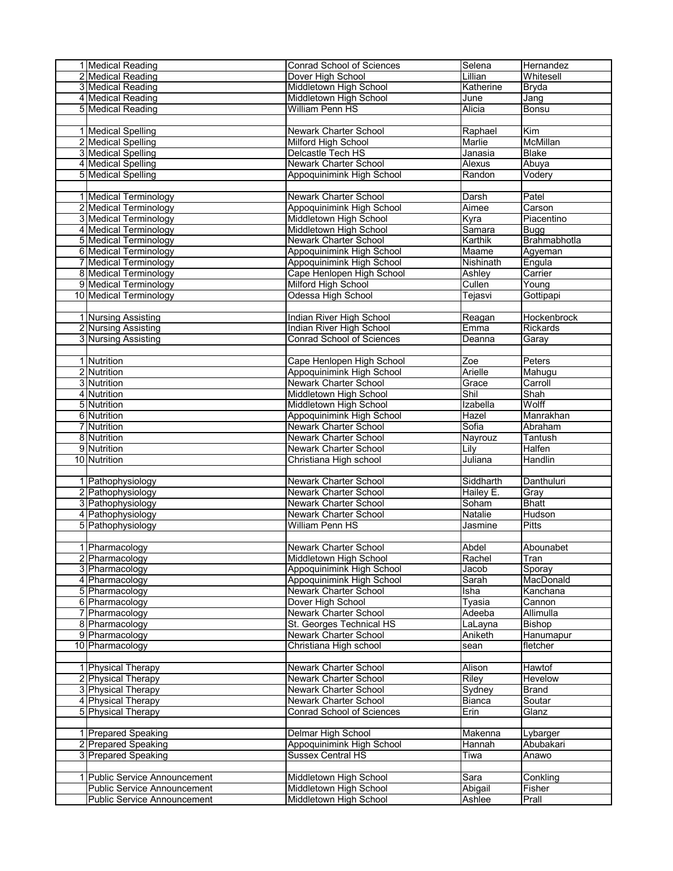| 1 Medical Reading                  | <b>Conrad School of Sciences</b>               | Selena          | Hernandez         |
|------------------------------------|------------------------------------------------|-----------------|-------------------|
| 2 Medical Reading                  | Dover High School                              | Lillian         | Whitesell         |
| 3 Medical Reading                  | Middletown High School                         | Katherine       | <b>Bryda</b>      |
| 4 Medical Reading                  | Middletown High School                         | June            | Jang              |
| 5 Medical Reading                  | <b>William Penn HS</b>                         | Alicia          | <b>Bonsu</b>      |
|                                    |                                                |                 |                   |
| 1 Medical Spelling                 | <b>Newark Charter School</b>                   | Raphael         | Kim               |
| 2 Medical Spelling                 | Milford High School                            | Marlie          | McMillan          |
| 3 Medical Spelling                 | Delcastle Tech HS                              | Janasia         | Blake             |
| 4 Medical Spelling                 | Newark Charter School                          | Alexus          | Abuya             |
| 5 Medical Spelling                 | Appoquinimink High School                      | Randon          | Vodery            |
|                                    |                                                |                 |                   |
| 1 Medical Terminology              | <b>Newark Charter School</b>                   | Darsh           | Patel             |
| 2 Medical Terminology              | Appoquinimink High School                      | Aimee           | Carson            |
| 3 Medical Terminology              | Middletown High School                         | Kyra            | Piacentino        |
| 4 Medical Terminology              | <b>Middletown High School</b>                  | Samara          | <b>Bugg</b>       |
| 5 Medical Terminology              | Newark Charter School                          | Karthik         | Brahmabhotla      |
| 6 Medical Terminology              | Appoquinimink High School                      | Maame           | Agyeman           |
| 7 Medical Terminology              | Appoquinimink High School                      | Nishinath       | Engula            |
| 8 Medical Terminology              | Cape Henlopen High School                      | Ashley          | Carrier           |
| 9 Medical Terminology              | Milford High School                            | Cullen          | Young             |
| 10 Medical Terminology             | Odessa High School                             | Tejasvi         | Gottipapi         |
|                                    |                                                |                 |                   |
| 1 Nursing Assisting                | Indian River High School                       | Reagan          | Hockenbrock       |
| 2 Nursing Assisting                | <b>Indian River High School</b>                | Emma            | Rickards          |
| 3 Nursing Assisting                | <b>Conrad School of Sciences</b>               | Deanna          | Garay             |
|                                    |                                                |                 |                   |
| 1 Nutrition                        | Cape Henlopen High School                      | Zoe<br>Arielle  | Peters            |
| 2 Nutrition                        | Appoquinimink High School                      |                 | Mahugu            |
| 3 Nutrition                        | Newark Charter School                          | Grace           | Carroll           |
| 4 Nutrition                        | Middletown High School                         | Shil            | Shah              |
| 5 Nutrition                        | Middletown High School                         | Izabella        | Wolff             |
| 6 Nutrition                        | Appoquinimink High School                      | Hazel<br>Sofia  | Manrakhan         |
| 7 Nutrition                        | Newark Charter School                          |                 | Abraham           |
| 8 Nutrition<br>9 Nutrition         | Newark Charter School<br>Newark Charter School | Nayrouz<br>Lily | Tantush<br>Halfen |
| 10 Nutrition                       | Christiana High school                         | Juliana         | Handlin           |
|                                    |                                                |                 |                   |
| 1 Pathophysiology                  | <b>Newark Charter School</b>                   | Siddharth       | Danthuluri        |
| 2 Pathophysiology                  | Newark Charter School                          | Hailey E.       | Gray              |
| 3 Pathophysiology                  | Newark Charter School                          | Soham           | <b>Bhatt</b>      |
| 4 Pathophysiology                  | Newark Charter School                          | Natalie         | Hudson            |
| 5 Pathophysiology                  | William Penn HS                                | Jasmine         | Pitts             |
|                                    |                                                |                 |                   |
| 1 Pharmacology                     | <b>Newark Charter School</b>                   | Abdel           | Abounabet         |
| 2 Pharmacology                     | Middletown High School                         | Rachel          | Tran              |
| 3 Pharmacology                     | Appoquinimink High School                      | Jacob           | Sporay            |
| 4 Pharmacology                     | Appoquinimink High School                      | Sarah           | MacDonald         |
| 5 Pharmacology                     | <b>Newark Charter School</b>                   | Isha            | Kanchana          |
| 6 Pharmacology                     | Dover High School                              | Tyasia          | Cannon            |
| 7 Pharmacology                     | Newark Charter School                          | Adeeba          | Allimulla         |
| 8 Pharmacology                     | St. Georges Technical HS                       | LaLayna         | Bishop            |
| 9 Pharmacology                     | Newark Charter School                          | Aniketh         | Hanumapur         |
| 10 Pharmacology                    | Christiana High school                         | sean            | fletcher          |
|                                    |                                                |                 |                   |
| 1 Physical Therapy                 | Newark Charter School                          | Alison          | Hawtof            |
| 2 Physical Therapy                 | Newark Charter School                          | Riley           | Hevelow           |
| 3 Physical Therapy                 | Newark Charter School                          | Sydney          | <b>Brand</b>      |
| 4 Physical Therapy                 | Newark Charter School                          | <b>Bianca</b>   | Soutar            |
| 5 Physical Therapy                 | Conrad School of Sciences                      | Erin            | Glanz             |
|                                    |                                                |                 |                   |
| 1 Prepared Speaking                | Delmar High School                             | Makenna         | Lybarger          |
| 2 Prepared Speaking                | Appoquinimink High School                      | Hannah          | Abubakari         |
| 3 Prepared Speaking                | <b>Sussex Central HS</b>                       | Tiwa            | Anawo             |
|                                    |                                                |                 |                   |
| 1 Public Service Announcement      | Middletown High School                         | Sara            | Conkling          |
| <b>Public Service Announcement</b> | Middletown High School                         | Abigail         | Fisher            |
| Public Service Announcement        | Middletown High School                         | Ashlee          | Prall             |
|                                    |                                                |                 |                   |